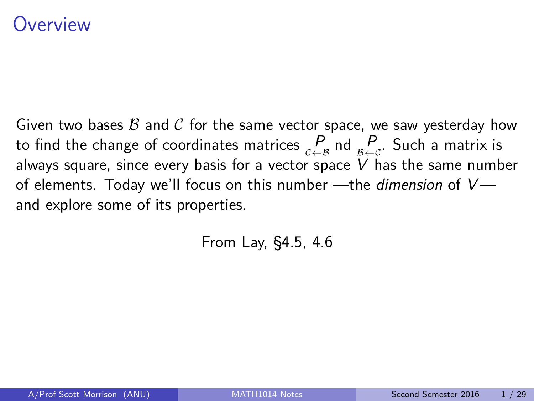### <span id="page-0-0"></span>)verview

Given two bases  $\beta$  and  $\beta$  for the same vector space, we saw yesterday how to find the change of coordinates matrices  $\mathop{P}\limits_{c \leftarrow B}$  nd  $\mathop{P}\limits_{B \leftarrow C}$ . Such a matrix is always square, since every basis for a vector space  $V$  has the same number of elements. Today we'll focus on this number —the *dimension* of  $V$  and explore some of its properties.

From Lay, §4.5, 4.6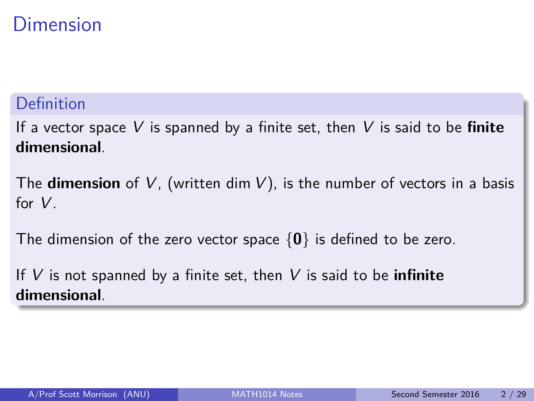### Dimension

#### Definition

If a vector space V is spanned by a finite set, then V is said to be **finite dimensional**.

The **dimension** of V, (written dim V), is the number of vectors in a basis for V.

The dimension of the zero vector space {**0**} is defined to be zero.

If V is not spanned by a finite set, then V is said to be **infinite dimensional**.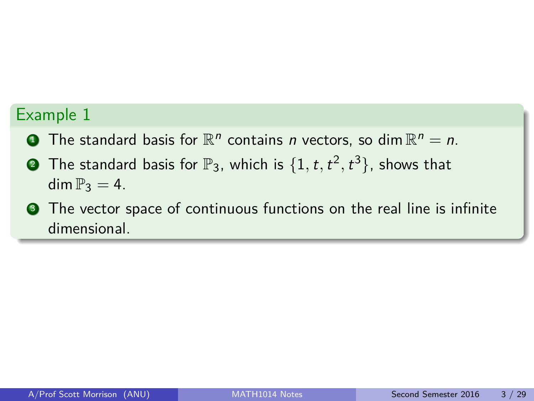- **The standard basis for**  $\mathbb{R}^n$  **contains n vectors, so dim**  $\mathbb{R}^n = n$ **.**
- $\bullet$  The standard basis for  $\mathbb{P}_3$ , which is  $\{1,t,t^2,t^3\}$ , shows that dim  $\mathbb{P}_3 = 4$ .
- **3** The vector space of continuous functions on the real line is infinite dimensional.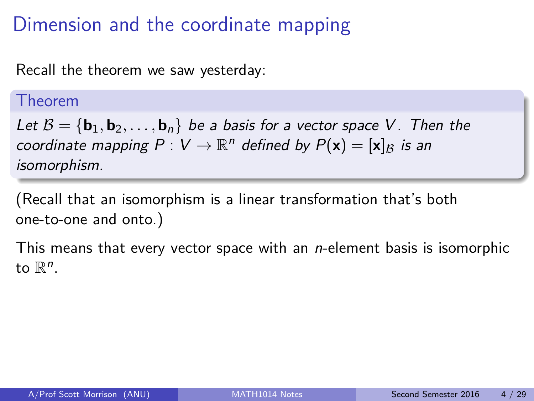### Dimension and the coordinate mapping

Recall the theorem we saw yesterday:

#### Theorem

Let  $B = {\bf{b}_1, b_2, \ldots, b_n}$  be a basis for a vector space V. Then the coordinate mapping  $P: V \to \mathbb{R}^n$  defined by  $P(\mathbf{x}) = [\mathbf{x}]_B$  is an isomorphism.

(Recall that an isomorphism is a linear transformation that's both one-to-one and onto.)

This means that every vector space with an  $n$ -element basis is isomorphic to  $\mathbb{R}^n$ .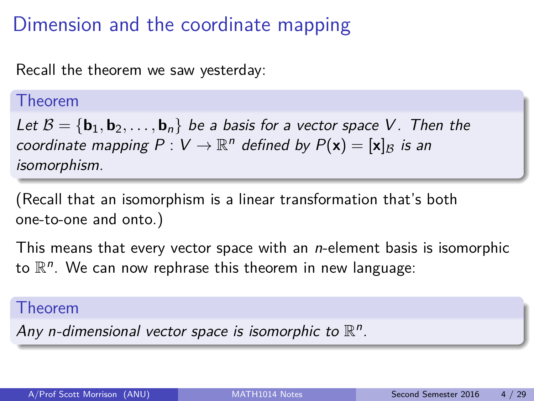### Dimension and the coordinate mapping

Recall the theorem we saw yesterday:

#### Theorem

Let  $B = {\bf{b}_1, b_2, \ldots, b_n}$  be a basis for a vector space V. Then the coordinate mapping  $P: V \to \mathbb{R}^n$  defined by  $P(\mathbf{x}) = [\mathbf{x}]_B$  is an isomorphism.

(Recall that an isomorphism is a linear transformation that's both one-to-one and onto.)

This means that every vector space with an  $n$ -element basis is isomorphic to  $\mathbb{R}^n$ . We can now rephrase this theorem in new language:

#### Theorem

Any n-dimensional vector space is isomorphic to  $\mathbb{R}^n$ .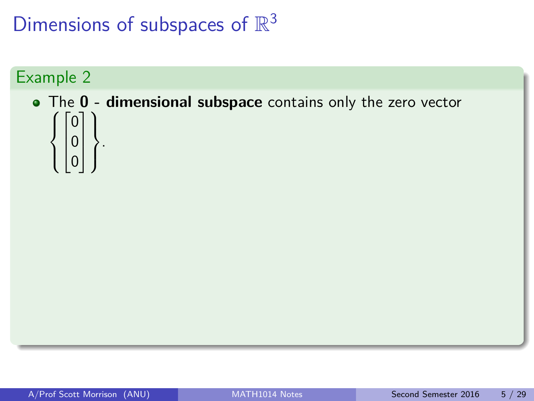#### Example 2

#### $\sqrt{ }$ The **0 - dimensional subspace** contains only the zero vector  $\int$  $\overline{\mathcal{L}}$  $\sqrt{ }$  $\overline{1}$  $\overline{1}$ 0 0 0 1  $\perp$  $\mathbf{I}$  $\mathcal{L}$  $\overline{\mathcal{L}}$  $\int$ .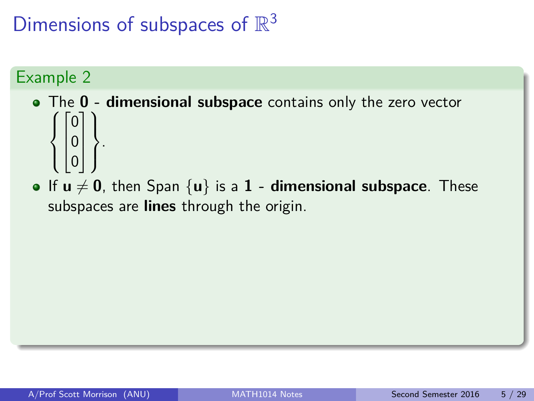- $\sqrt{ }$ The **0 - dimensional subspace** contains only the zero vector  $\int$  $\overline{\mathcal{L}}$  $\sqrt{ }$  $\overline{1}$  $\overline{1}$ 0 0 0 1  $\perp$  $\mathbf{I}$  $\mathcal{L}$  $\overline{\mathcal{L}}$  $\int$ .
- If  $u \neq 0$ , then Span  $\{u\}$  is a 1 dimensional subspace. These subspaces are **lines** through the origin.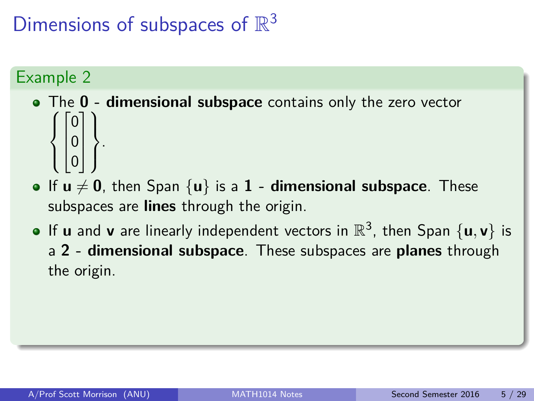- $\sqrt{ }$ The **0 - dimensional subspace** contains only the zero vector  $\int$  $\overline{\mathcal{L}}$  $\sqrt{ }$  $\overline{1}$  $\overline{1}$ 0 0 0 1  $\perp$  $\mathbf{I}$  $\mathcal{L}$  $\overline{\mathcal{L}}$  $\int$ .
- If  $u \neq 0$ , then Span  $\{u\}$  is a 1 **dimensional subspace**. These subspaces are **lines** through the origin.
- If  $\bf{u}$  and  $\bf{v}$  are linearly independent vectors in  $\mathbb{R}^3$ , then Span  $\{ \bf{u}, \bf{v} \}$  is a **2 - dimensional subspace**. These subspaces are **planes** through the origin.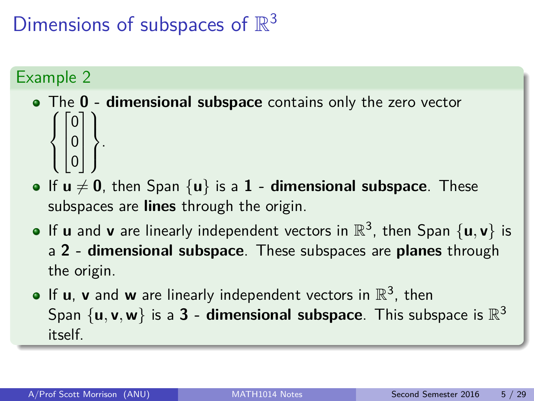- $\sqrt{ }$ The **0 - dimensional subspace** contains only the zero vector  $\int$  $\overline{\mathcal{L}}$  $\sqrt{ }$  $\overline{1}$  $\overline{1}$ 0 0 0 1  $\perp$  $\mathbf{I}$  $\mathcal{L}$  $\overline{\mathcal{L}}$  $\int$ .
- If  $u \neq 0$ , then Span  $\{u\}$  is a 1 **dimensional subspace**. These subspaces are **lines** through the origin.
- If  $\bf{u}$  and  $\bf{v}$  are linearly independent vectors in  $\mathbb{R}^3$ , then Span  $\{ \bf{u}, \bf{v} \}$  is a **2 - dimensional subspace**. These subspaces are **planes** through the origin.
- If  $\mathbf{u}$ ,  $\mathbf{v}$  and  $\mathbf{w}$  are linearly independent vectors in  $\mathbb{R}^3$ , then Span  $\{u, v, w\}$  is a  $3$  - dimensional subspace. This subspace is  $\mathbb{R}^3$ itself.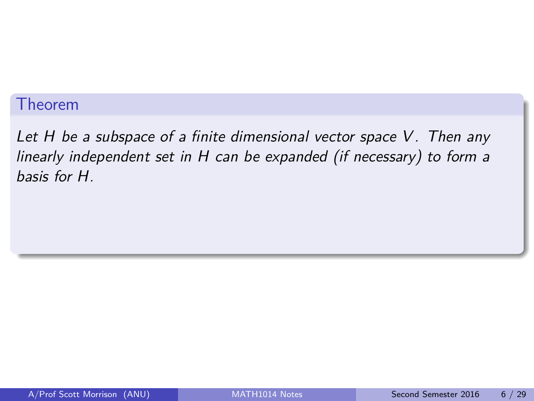#### Theorem

Let  $H$  be a subspace of a finite dimensional vector space  $V$ . Then any linearly independent set in H can be expanded (if necessary) to form a basis for H.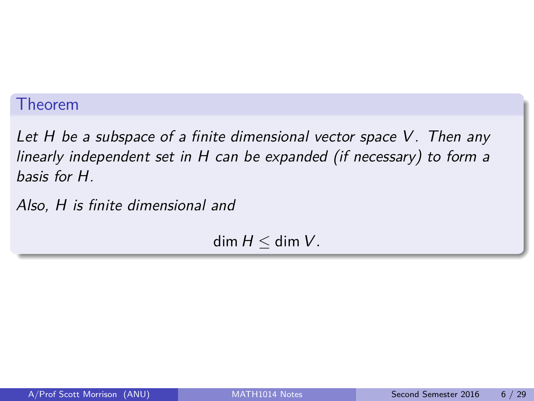#### Theorem

Let  $H$  be a subspace of a finite dimensional vector space  $V$ . Then any linearly independent set in H can be expanded (if necessary) to form a basis for H.

Also, H is finite dimensional and

 $dim H < dim V$ .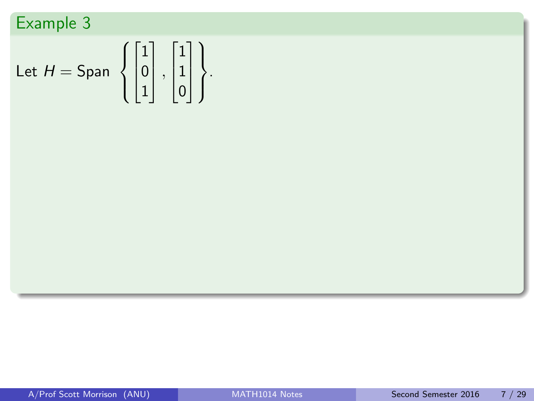Let 
$$
H = \text{Span } \left\{ \begin{bmatrix} 1 \\ 0 \\ 1 \end{bmatrix}, \begin{bmatrix} 1 \\ 1 \\ 0 \end{bmatrix} \right\}.
$$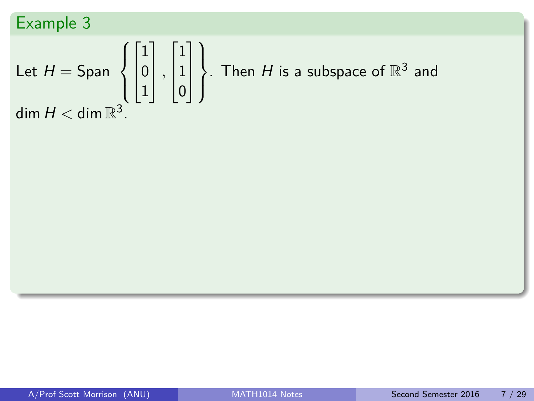Let 
$$
H = \text{Span} \left\{ \begin{bmatrix} 1 \\ 0 \\ 1 \end{bmatrix}, \begin{bmatrix} 1 \\ 1 \\ 0 \end{bmatrix} \right\}
$$
. Then *H* is a subspace of  $\mathbb{R}^3$  and  
dim  $H < \dim \mathbb{R}^3$ .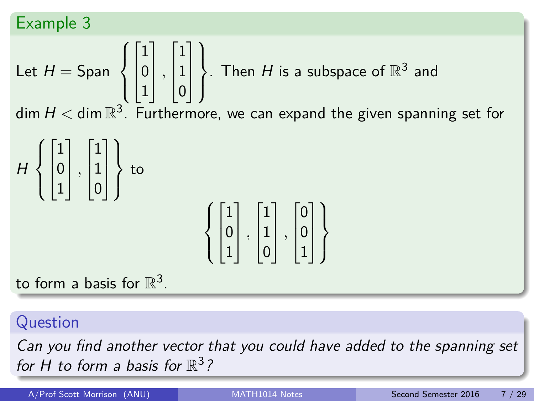Let 
$$
H = \text{Span} \left\{ \begin{bmatrix} 1 \\ 0 \\ 1 \end{bmatrix}, \begin{bmatrix} 1 \\ 1 \\ 0 \end{bmatrix} \right\}
$$
. Then *H* is a subspace of  $\mathbb{R}^3$  and  
dim  $H \leq \dim \mathbb{B}^3$ . Furthermore, we can expand the given spanning so

 $\dim H < \dim \mathbb{R}^3$ . Furthermore, we can expand the given spanning set for

$$
H\left\{ \begin{bmatrix} 1 \\ 0 \\ 1 \end{bmatrix}, \begin{bmatrix} 1 \\ 1 \\ 0 \end{bmatrix} \right\} \text{ to } \left\{ \begin{bmatrix} 1 \\ 0 \\ 1 \end{bmatrix}, \begin{bmatrix} 1 \\ 1 \\ 0 \end{bmatrix}, \begin{bmatrix} 0 \\ 0 \\ 1 \end{bmatrix} \right\}
$$

to form a basis for  $\mathbb{R}^3$ .

**Question** 

Can you find another vector that you could have added to the spanning set for H to form a basis for  $\mathbb{R}^3$ ?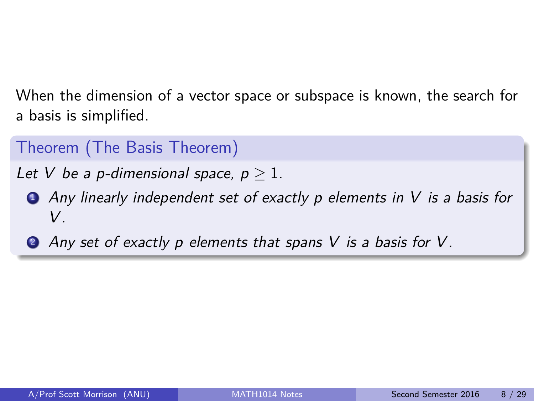When the dimension of a vector space or subspace is known, the search for a basis is simplified.

Theorem (The Basis Theorem)

Let V be a p-dimensional space,  $p > 1$ .

- $\bullet$  Any linearly independent set of exactly p elements in V is a basis for V .
- 2 Any set of exactly p elements that spans V is a basis for V.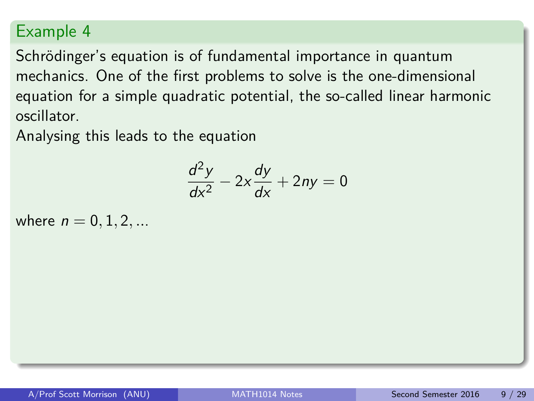Schrödinger's equation is of fundamental importance in quantum mechanics. One of the first problems to solve is the one-dimensional equation for a simple quadratic potential, the so-called linear harmonic oscillator.

Analysing this leads to the equation

$$
\frac{d^2y}{dx^2} - 2x\frac{dy}{dx} + 2ny = 0
$$

where  $n = 0, 1, 2, ...$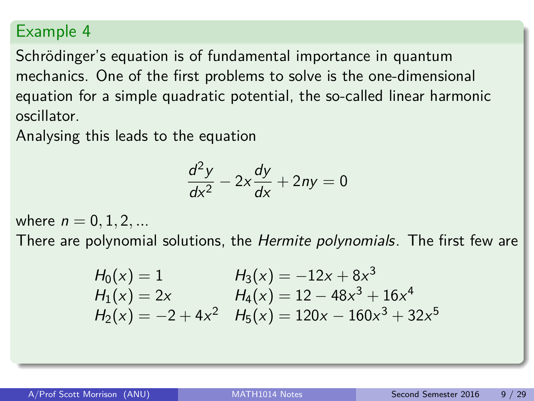Schrödinger's equation is of fundamental importance in quantum mechanics. One of the first problems to solve is the one-dimensional equation for a simple quadratic potential, the so-called linear harmonic oscillator.

Analysing this leads to the equation

$$
\frac{d^2y}{dx^2} - 2x\frac{dy}{dx} + 2ny = 0
$$

where  $n = 0, 1, 2, ...$ 

There are polynomial solutions, the *Hermite polynomials*. The first few are

$$
H_0(x) = 1
$$
  
\n
$$
H_1(x) = 2x
$$
  
\n
$$
H_2(x) = -2 + 4x^2
$$
  
\n
$$
H_3(x) = -12x + 8x^3
$$
  
\n
$$
H_4(x) = 12 - 48x^3 + 16x^4
$$
  
\n
$$
H_2(x) = -2 + 4x^2
$$
  
\n
$$
H_5(x) = 120x - 160x^3 + 32x^5
$$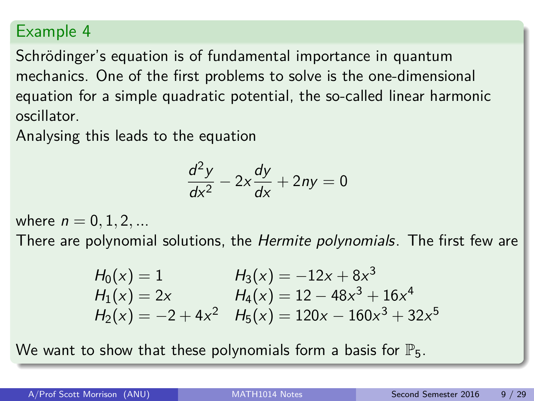Schrödinger's equation is of fundamental importance in quantum mechanics. One of the first problems to solve is the one-dimensional equation for a simple quadratic potential, the so-called linear harmonic oscillator.

Analysing this leads to the equation

$$
\frac{d^2y}{dx^2} - 2x\frac{dy}{dx} + 2ny = 0
$$

where  $n = 0, 1, 2, ...$ 

There are polynomial solutions, the *Hermite polynomials*. The first few are

$$
H_0(x) = 1
$$
  
\n
$$
H_1(x) = 2x
$$
  
\n
$$
H_2(x) = -2 + 4x^2
$$
  
\n
$$
H_3(x) = -12x + 8x^3
$$
  
\n
$$
H_4(x) = 12 - 48x^3 + 16x^4
$$
  
\n
$$
H_2(x) = -2 + 4x^2
$$
  
\n
$$
H_5(x) = 120x - 160x^3 + 32x^5
$$

We want to show that these polynomials form a basis for  $\mathbb{P}_5$ .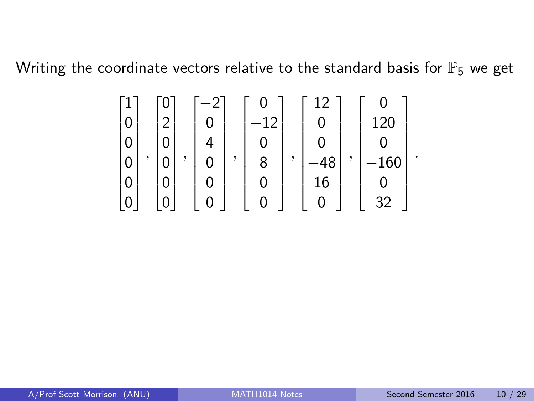Writing the coordinate vectors relative to the standard basis for  $\mathbb{P}_5$  we get

 1 0 0 0 0 0 *,* 0 2 0 0 0 0 *,* −2 0 4 0 0 0 *,* 0 −12 0 8 0 0 *,* 12 0 0 −48 16 0 *,* 0 120 0 −160 0 32 

*.*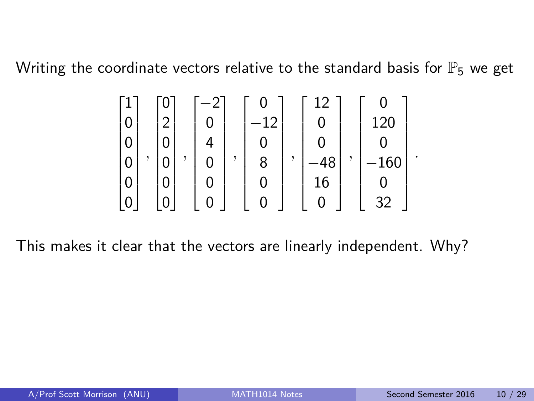Writing the coordinate vectors relative to the standard basis for  $\mathbb{P}_5$  we get

$$
\begin{bmatrix} 1 \\ 0 \\ 0 \\ 0 \\ 0 \\ 0 \\ 0 \\ 0 \\ 0 \\ 0 \\ \end{bmatrix}, \begin{bmatrix} 0 \\ 2 \\ 0 \\ 0 \\ 0 \\ 0 \\ 0 \\ 0 \\ 0 \\ 0 \\ 0 \\ \end{bmatrix}, \begin{bmatrix} 0 \\ -12 \\ 0 \\ 0 \\ 8 \\ 0 \\ 0 \\ 0 \\ 0 \\ 0 \\ 0 \\ \end{bmatrix}, \begin{bmatrix} 12 \\ 0 \\ 0 \\ -48 \\ 16 \\ 0 \\ 0 \\ 0 \\ 32 \\ \end{bmatrix}, \begin{bmatrix} 0 \\ 120 \\ 120 \\ 0 \\ -160 \\ 0 \\ 32 \\ \end{bmatrix}
$$

This makes it clear that the vectors are linearly independent. Why?

*.*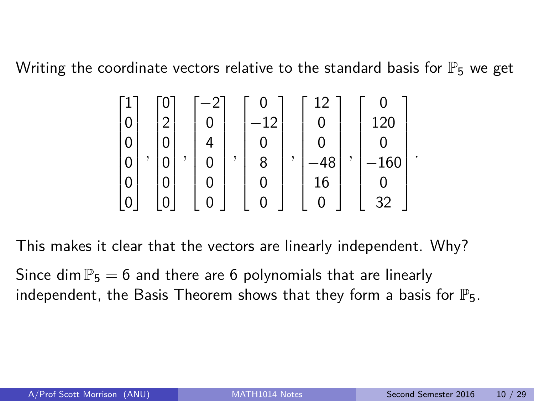Writing the coordinate vectors relative to the standard basis for  $\mathbb{P}_5$  we get

$$
\begin{bmatrix} 1 \\ 0 \\ 0 \\ 0 \\ 0 \\ 0 \\ 0 \\ 0 \\ 0 \\ 0 \\ \end{bmatrix}, \begin{bmatrix} 0 \\ 2 \\ 0 \\ 0 \\ 0 \\ 0 \\ 0 \\ 0 \\ 0 \\ 0 \\ 0 \\ \end{bmatrix}, \begin{bmatrix} 0 \\ -12 \\ 0 \\ 0 \\ 8 \\ 0 \\ 0 \\ 0 \\ 0 \\ 0 \\ 0 \\ \end{bmatrix}, \begin{bmatrix} 12 \\ 0 \\ 0 \\ -48 \\ 16 \\ 0 \\ 0 \\ 0 \\ 32 \\ \end{bmatrix}, \begin{bmatrix} 0 \\ 120 \\ 120 \\ 0 \\ -160 \\ 0 \\ 32 \\ \end{bmatrix}
$$

This makes it clear that the vectors are linearly independent. Why? Since dim  $\mathbb{P}_5 = 6$  and there are 6 polynomials that are linearly

independent, the Basis Theorem shows that they form a basis for  $\mathbb{P}_5$ .

*.*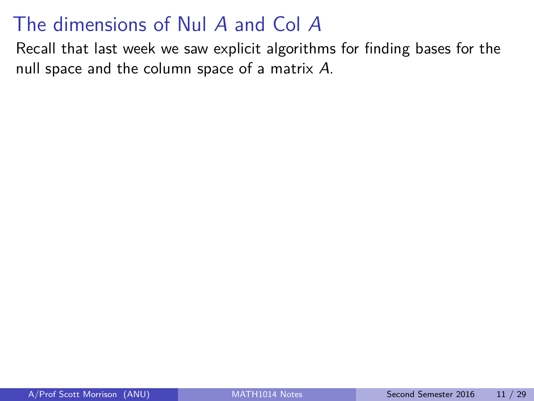Recall that last week we saw explicit algorithms for finding bases for the null space and the column space of a matrix A.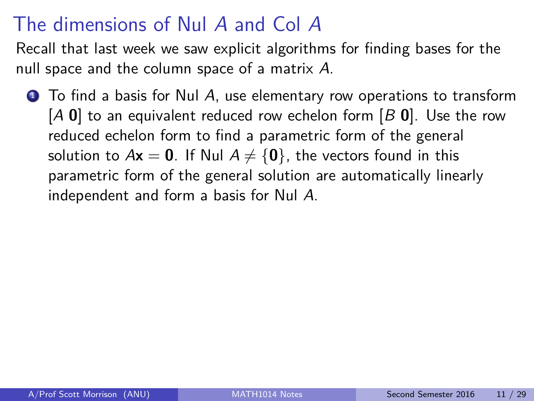Recall that last week we saw explicit algorithms for finding bases for the null space and the column space of a matrix A.

 $\bullet$  To find a basis for Nul A, use elementary row operations to transform [A **0**] to an equivalent reduced row echelon form [B **0**]. Use the row reduced echelon form to find a parametric form of the general solution to  $Ax = 0$ . If Nul  $A \neq \{0\}$ , the vectors found in this parametric form of the general solution are automatically linearly independent and form a basis for Nul A.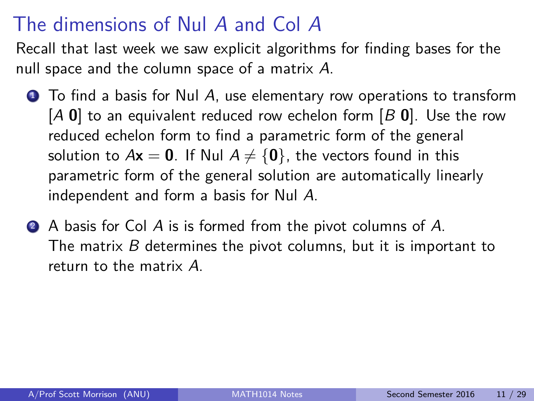Recall that last week we saw explicit algorithms for finding bases for the null space and the column space of a matrix A.

- $\bullet$  To find a basis for Nul A, use elementary row operations to transform [A **0**] to an equivalent reduced row echelon form [B **0**]. Use the row reduced echelon form to find a parametric form of the general solution to  $Ax = 0$ . If Nul  $A \neq \{0\}$ , the vectors found in this parametric form of the general solution are automatically linearly independent and form a basis for Nul A.
- **2** A basis for Col A is is formed from the pivot columns of A. The matrix B determines the pivot columns, but it is important to return to the matrix A.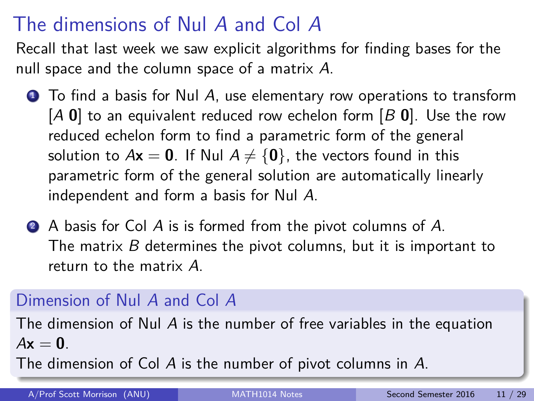Recall that last week we saw explicit algorithms for finding bases for the null space and the column space of a matrix A.

- $\bullet$  To find a basis for Nul A, use elementary row operations to transform [A **0**] to an equivalent reduced row echelon form [B **0**]. Use the row reduced echelon form to find a parametric form of the general solution to  $Ax = 0$ . If Nul  $A \neq \{0\}$ , the vectors found in this parametric form of the general solution are automatically linearly independent and form a basis for Nul A.
- A basis for Col A is is formed from the pivot columns of A. The matrix B determines the pivot columns, but it is important to return to the matrix A.

### Dimension of Nul A and Col A

The dimension of Nul A is the number of free variables in the equation  $A\mathbf{x} = \mathbf{0}$ 

The dimension of Col A is the number of pivot columns in A.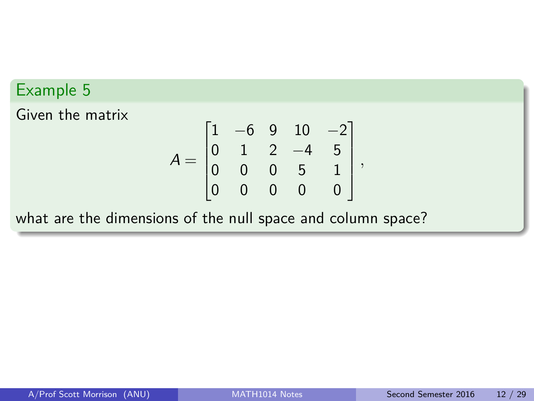Given the matrix

$$
A = \begin{bmatrix} 1 & -6 & 9 & 10 & -2 \\ 0 & 1 & 2 & -4 & 5 \\ 0 & 0 & 0 & 5 & 1 \\ 0 & 0 & 0 & 0 & 0 \end{bmatrix},
$$

what are the dimensions of the null space and column space?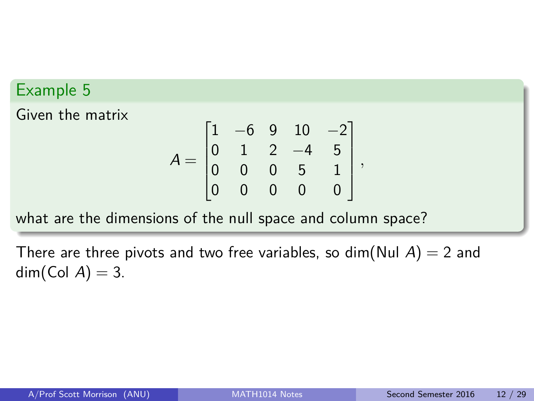Given the matrix

$$
A = \begin{bmatrix} 1 & -6 & 9 & 10 & -2 \\ 0 & 1 & 2 & -4 & 5 \\ 0 & 0 & 0 & 5 & 1 \\ 0 & 0 & 0 & 0 & 0 \end{bmatrix},
$$

what are the dimensions of the null space and column space?

There are three pivots and two free variables, so dim(Nul  $A$ ) = 2 and  $dim(Col A) = 3.$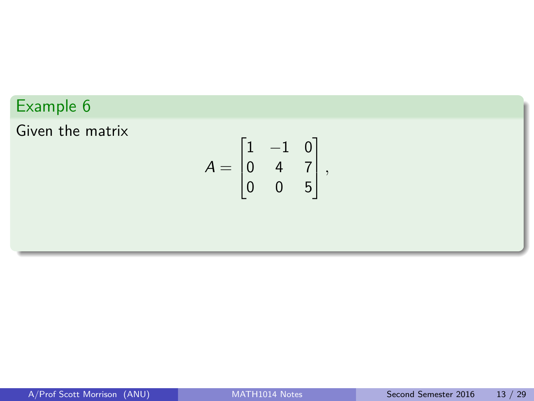Given the matrix

$$
A = \begin{bmatrix} 1 & -1 & 0 \\ 0 & 4 & 7 \\ 0 & 0 & 5 \end{bmatrix},
$$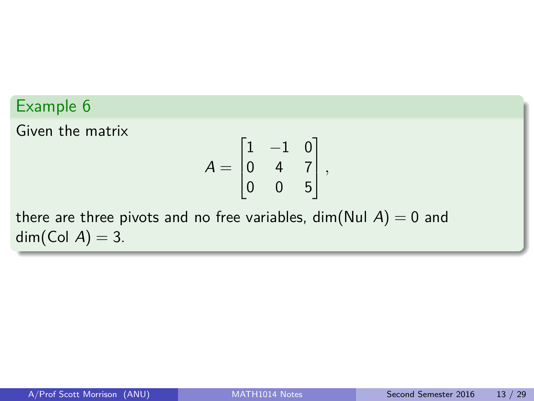Given the matrix

$$
A = \begin{bmatrix} 1 & -1 & 0 \\ 0 & 4 & 7 \\ 0 & 0 & 5 \end{bmatrix},
$$

there are three pivots and no free variables, dim(Nul  $A$ ) = 0 and  $dim(Col A) = 3.$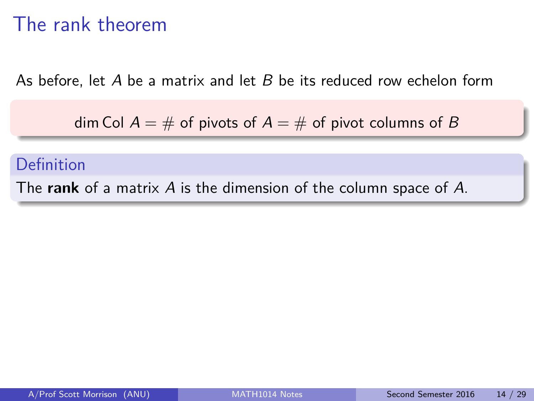### The rank theorem

As before, let A be a matrix and let B be its reduced row echelon form

dim Col  $A = #$  of pivots of  $A = #$  of pivot columns of B

#### Definition

The **rank** of a matrix A is the dimension of the column space of A.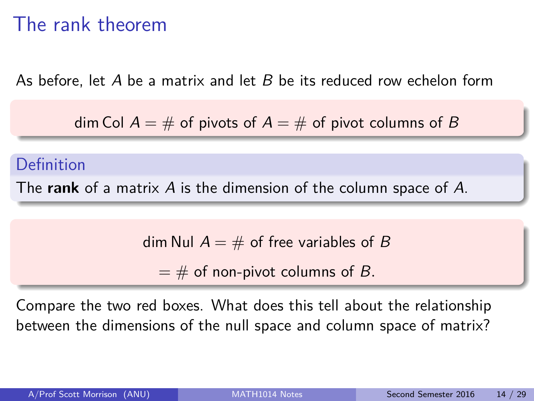### The rank theorem

As before, let A be a matrix and let B be its reduced row echelon form

dim Col  $A = \#$  of pivots of  $A = \#$  of pivot columns of B

#### Definition

The **rank** of a matrix A is the dimension of the column space of A.

dim Nul  $A = \#$  of free variables of B

 $=$  # of non-pivot columns of B.

Compare the two red boxes. What does this tell about the relationship between the dimensions of the null space and column space of matrix?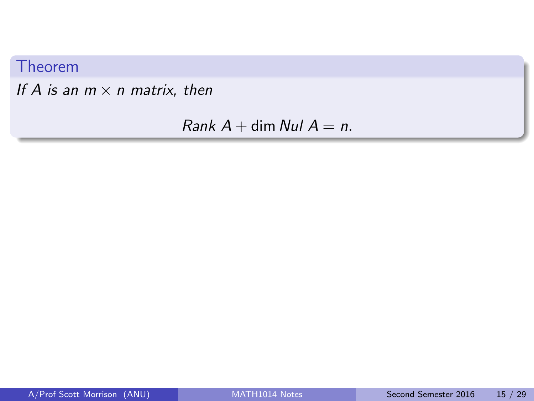#### Theorem

If A is an  $m \times n$  matrix, then

Rank  $A$  + dim Nul  $A = n$ .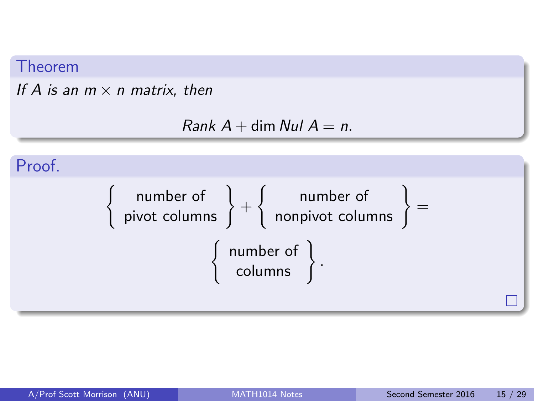#### Theorem

#### If A is an  $m \times n$  matrix, then

```
Rank A + \dim Nul A = n.
```
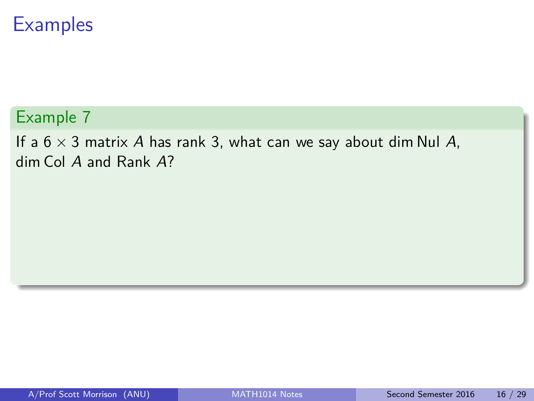#### Example 7

If a  $6 \times 3$  matrix A has rank 3, what can we say about dim Nul A, dim Col A and Rank A?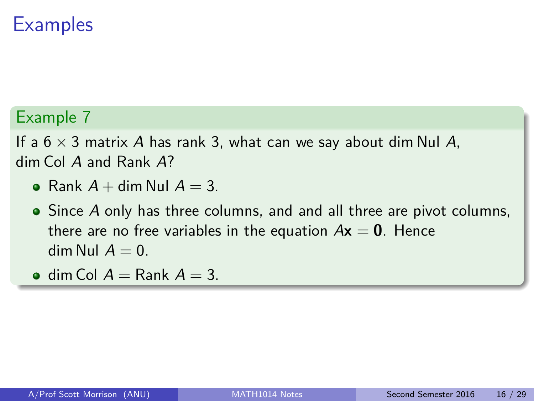#### Example 7

If a  $6 \times 3$  matrix A has rank 3, what can we say about dim Nul A, dim Col A and Rank A?

- Rank  $A + \dim \text{Nul } A = 3$ .
- Since A only has three columns, and and all three are pivot columns, there are no free variables in the equation  $Ax = 0$ . Hence dim Nul  $A = 0$ .
- $\bullet$  dim Col  $A =$  Rank  $A = 3$ .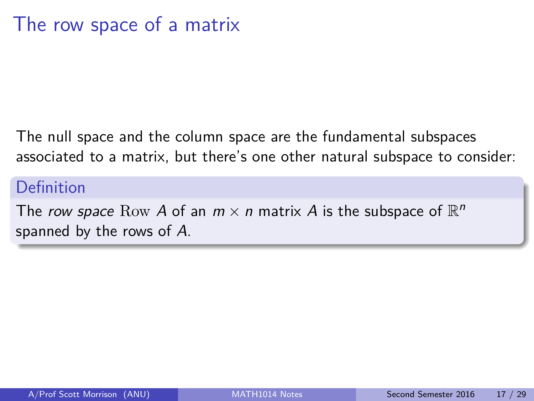The null space and the column space are the fundamental subspaces associated to a matrix, but there's one other natural subspace to consider:

#### Definition

The row space Row A of an  $m \times n$  matrix A is the subspace of  $\mathbb{R}^n$ spanned by the rows of A.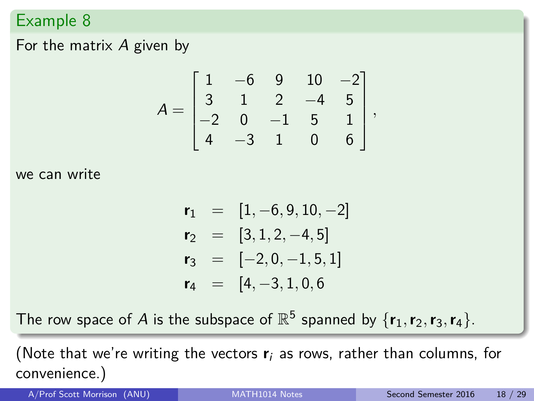#### For the matrix A given by

$$
A = \begin{bmatrix} 1 & -6 & 9 & 10 & -2 \\ 3 & 1 & 2 & -4 & 5 \\ -2 & 0 & -1 & 5 & 1 \\ 4 & -3 & 1 & 0 & 6 \end{bmatrix},
$$

we can write

$$
\begin{array}{rcl}\nr_1 & = & [1, -6, 9, 10, -2] \\
r_2 & = & [3, 1, 2, -4, 5] \\
r_3 & = & [-2, 0, -1, 5, 1] \\
r_4 & = & [4, -3, 1, 0, 6]\n\end{array}
$$

The row space of A is the subspace of  $\mathbb{R}^5$  spanned by  $\{r_1, r_2, r_3, r_4\}$ .

(Note that we're writing the vectors **r**<sup>i</sup> as rows, rather than columns, for convenience.)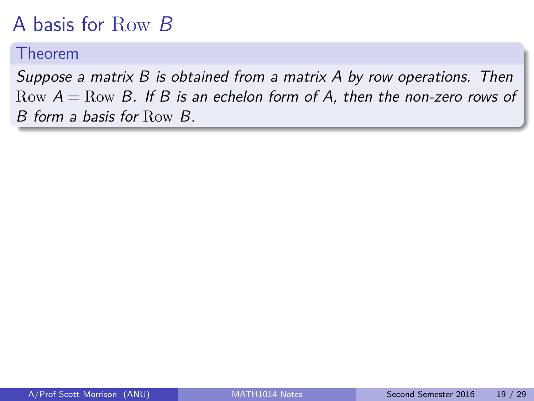# A basis for Row B

#### Theorem

Suppose a matrix B is obtained from a matrix A by row operations. Then Row  $A =$ Row B. If B is an echelon form of A, then the non-zero rows of B form a basis for Row B.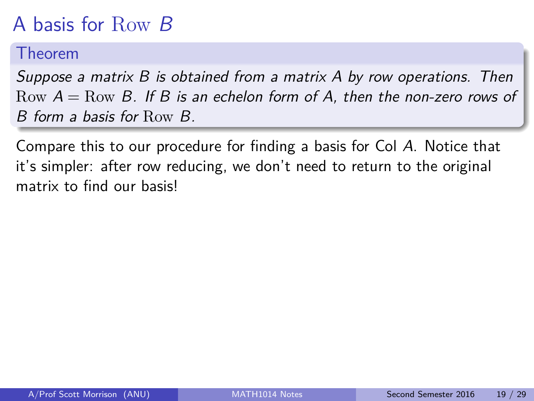# A basis for Row B

#### Theorem

Suppose a matrix B is obtained from a matrix A by row operations. Then Row  $A = Row B$ . If B is an echelon form of A, then the non-zero rows of B form a basis for Row B.

Compare this to our procedure for finding a basis for Col A. Notice that it's simpler: after row reducing, we don't need to return to the original matrix to find our basis!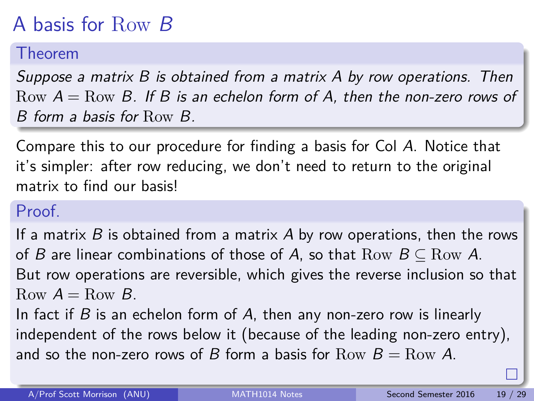# A basis for Row B

#### Theorem

Suppose a matrix B is obtained from a matrix A by row operations. Then Row  $A = Row B$ . If B is an echelon form of A, then the non-zero rows of B form a basis for Row B.

Compare this to our procedure for finding a basis for Col A. Notice that it's simpler: after row reducing, we don't need to return to the original matrix to find our basis!

#### Proof.

If a matrix  $B$  is obtained from a matrix  $A$  by row operations, then the rows of B are linear combinations of those of A, so that  $Row B \subseteq Row A$ . But row operations are reversible, which gives the reverse inclusion so that Row  $A = Row B$ .

In fact if  $B$  is an echelon form of  $A$ , then any non-zero row is linearly independent of the rows below it (because of the leading non-zero entry), and so the non-zero rows of B form a basis for  $Row B = Row A$ .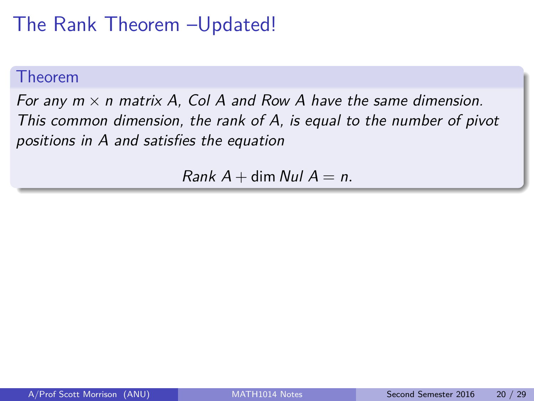### The Rank Theorem –Updated!

#### Theorem

For any  $m \times n$  matrix A, Col A and Row A have the same dimension. This common dimension, the rank of A, is equal to the number of pivot positions in A and satisfies the equation

 $Rank A + \dim N_U/A = n$ .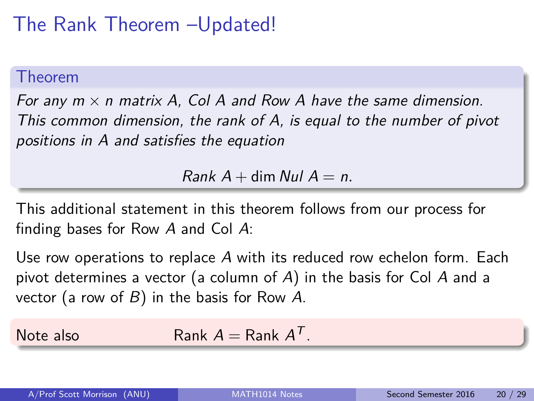### The Rank Theorem –Updated!

#### Theorem

For any  $m \times n$  matrix A, Col A and Row A have the same dimension. This common dimension, the rank of A, is equal to the number of pivot positions in A and satisfies the equation

 $Rank A + \dim N_U/A = n$ .

This additional statement in this theorem follows from our process for finding bases for Row A and Col A:

Use row operations to replace A with its reduced row echelon form. Each pivot determines a vector (a column of A) in the basis for Col A and a vector (a row of  $B$ ) in the basis for Row A.

Note also Rank  $A =$  Rank  $A<sup>T</sup>$ .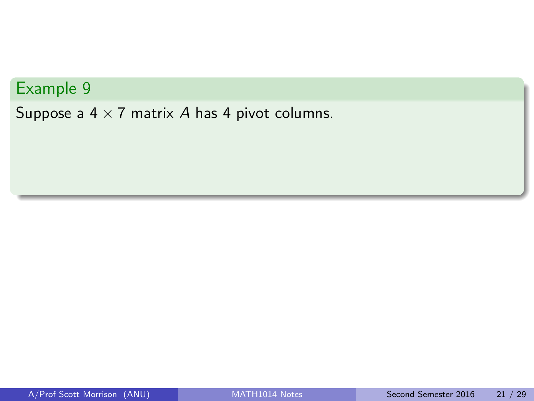Suppose a  $4 \times 7$  matrix A has 4 pivot columns.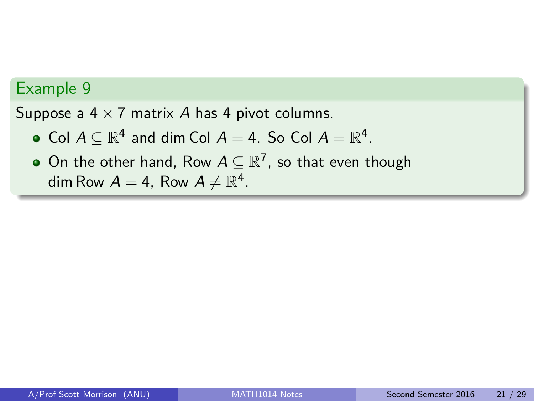Suppose a  $4 \times 7$  matrix A has 4 pivot columns.

- Col  $A \subseteq \mathbb{R}^4$  and dim Col  $A = 4$ . So Col  $A = \mathbb{R}^4$ .
- On the other hand, Row  $A\subseteq \mathbb{R}^7$ , so that even though dim Row  $A = 4$ , Row  $A \neq \mathbb{R}^4$ .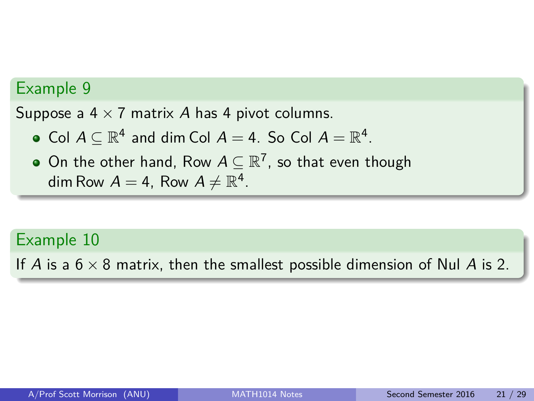Suppose a  $4 \times 7$  matrix A has 4 pivot columns.

- Col  $A \subseteq \mathbb{R}^4$  and dim Col  $A = 4$ . So Col  $A = \mathbb{R}^4$ .
- On the other hand, Row  $A\subseteq \mathbb{R}^7$ , so that even though dim Row  $A = 4$ , Row  $A \neq \mathbb{R}^4$ .

#### Example 10

If A is a  $6 \times 8$  matrix, then the smallest possible dimension of Nul A is 2.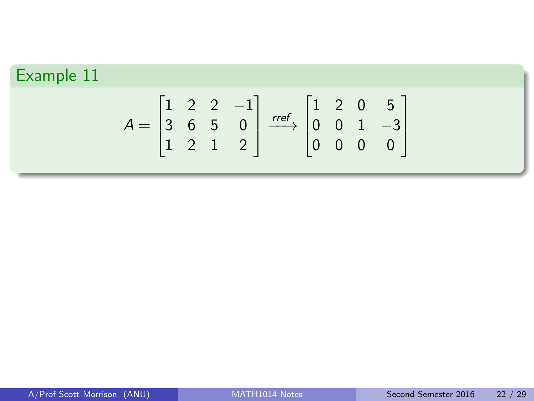$$
A = \begin{bmatrix} 1 & 2 & 2 & -1 \\ 3 & 6 & 5 & 0 \\ 1 & 2 & 1 & 2 \end{bmatrix} \xrightarrow{ref} \begin{bmatrix} 1 & 2 & 0 & 5 \\ 0 & 0 & 1 & -3 \\ 0 & 0 & 0 & 0 \end{bmatrix}
$$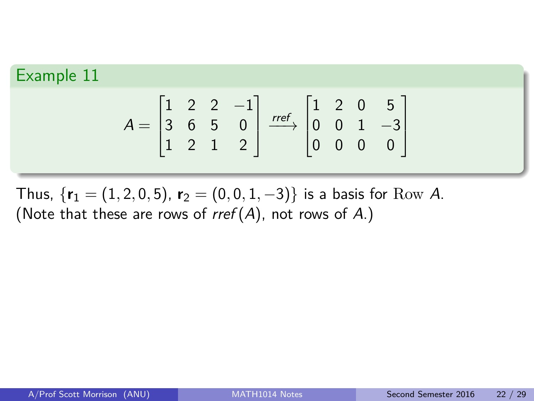$$
A = \begin{bmatrix} 1 & 2 & 2 & -1 \\ 3 & 6 & 5 & 0 \\ 1 & 2 & 1 & 2 \end{bmatrix} \xrightarrow{ref} \begin{bmatrix} 1 & 2 & 0 & 5 \\ 0 & 0 & 1 & -3 \\ 0 & 0 & 0 & 0 \end{bmatrix}
$$

Thus,  $\{r_1 = (1, 2, 0, 5), r_2 = (0, 0, 1, -3)\}$  is a basis for Row A. (Note that these are rows of  $rref(A)$ , not rows of A.)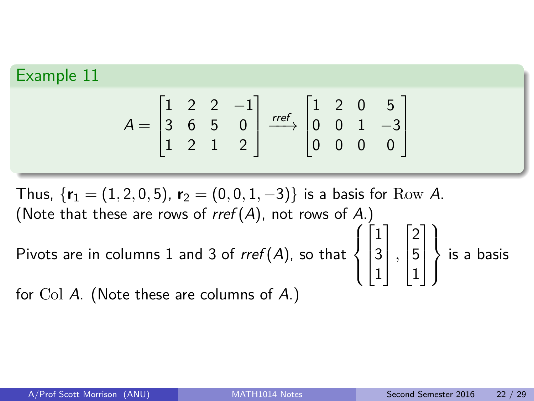$$
A = \begin{bmatrix} 1 & 2 & 2 & -1 \\ 3 & 6 & 5 & 0 \\ 1 & 2 & 1 & 2 \end{bmatrix} \xrightarrow{ref} \begin{bmatrix} 1 & 2 & 0 & 5 \\ 0 & 0 & 1 & -3 \\ 0 & 0 & 0 & 0 \end{bmatrix}
$$

 $\sqrt{ }$ 

 $\lceil$ 

1 *,*  $\lceil$ 

1

 $\mathcal{L}$  $\overline{\mathcal{L}}$ 

 $\int$ 

is a basis

 $\begin{matrix} \phantom{-} \end{matrix}$ 

 $\mathcal{L}$ 

Thus,  $\{r_1 = (1, 2, 0, 5), r_2 = (0, 0, 1, -3)\}$  is a basis for Row A. (Note that these are rows of  $rref(A)$ , not rows of A.)

Pivots are in columns 1 and 3 of  $\mathsf{rref}(A)$ , so that  $\int$ 

for Col A. (Note these are columns of A.)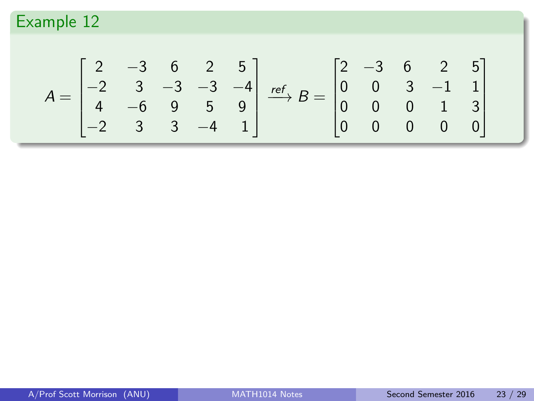$$
A = \begin{bmatrix} 2 & -3 & 6 & 2 & 5 \\ -2 & 3 & -3 & -3 & -4 \\ 4 & -6 & 9 & 5 & 9 \\ -2 & 3 & 3 & -4 & 1 \end{bmatrix} \xrightarrow{ref} B = \begin{bmatrix} 2 & -3 & 6 & 2 & 5 \\ 0 & 0 & 3 & -1 & 1 \\ 0 & 0 & 0 & 1 & 3 \\ 0 & 0 & 0 & 0 & 0 \end{bmatrix}
$$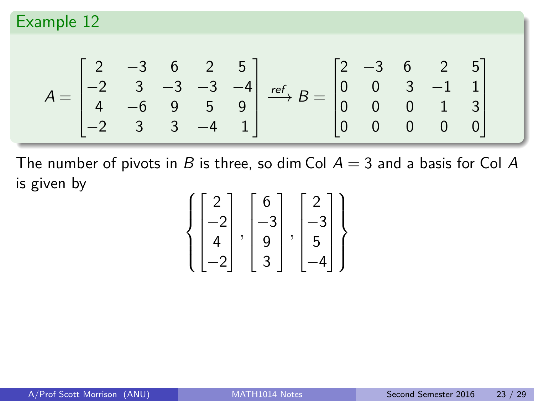$$
A = \begin{bmatrix} 2 & -3 & 6 & 2 & 5 \\ -2 & 3 & -3 & -3 & -4 \\ 4 & -6 & 9 & 5 & 9 \\ -2 & 3 & 3 & -4 & 1 \end{bmatrix} \xrightarrow{ref} B = \begin{bmatrix} 2 & -3 & 6 & 2 & 5 \\ 0 & 0 & 3 & -1 & 1 \\ 0 & 0 & 0 & 1 & 3 \\ 0 & 0 & 0 & 0 & 0 \end{bmatrix}
$$

The number of pivots in B is three, so dim Col  $A = 3$  and a basis for Col A is given by

$$
\left\{ \begin{bmatrix} 2 \\ -2 \\ 4 \\ -2 \end{bmatrix}, \begin{bmatrix} 6 \\ -3 \\ 9 \\ 3 \end{bmatrix}, \begin{bmatrix} 2 \\ -3 \\ 5 \\ -4 \end{bmatrix} \right\}
$$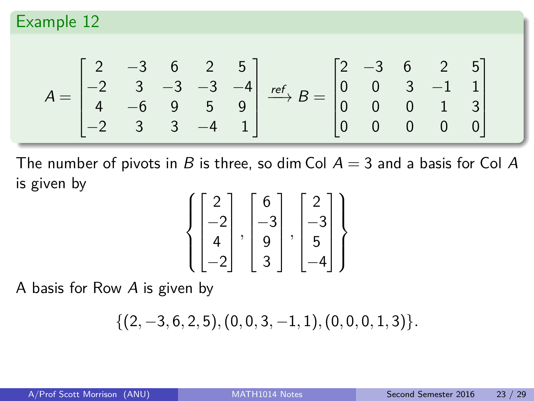$$
A = \begin{bmatrix} 2 & -3 & 6 & 2 & 5 \\ -2 & 3 & -3 & -3 & -4 \\ 4 & -6 & 9 & 5 & 9 \\ -2 & 3 & 3 & -4 & 1 \end{bmatrix} \xrightarrow{ref} B = \begin{bmatrix} 2 & -3 & 6 & 2 & 5 \\ 0 & 0 & 3 & -1 & 1 \\ 0 & 0 & 0 & 1 & 3 \\ 0 & 0 & 0 & 0 & 0 \end{bmatrix}
$$

The number of pivots in B is three, so dim Col  $A = 3$  and a basis for Col A is given by

$$
\left\{ \begin{bmatrix} 2 \\ -2 \\ 4 \\ -2 \end{bmatrix}, \begin{bmatrix} 6 \\ -3 \\ 9 \\ 3 \end{bmatrix}, \begin{bmatrix} 2 \\ -3 \\ 5 \\ -4 \end{bmatrix} \right\}
$$

A basis for Row A is given by

$$
\{(2,-3,6,2,5),(0,0,3,-1,1),(0,0,0,1,3)\}.
$$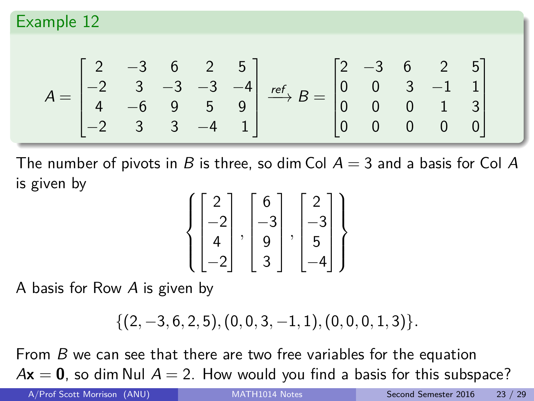$$
A = \begin{bmatrix} 2 & -3 & 6 & 2 & 5 \\ -2 & 3 & -3 & -3 & -4 \\ 4 & -6 & 9 & 5 & 9 \\ -2 & 3 & 3 & -4 & 1 \end{bmatrix} \xrightarrow{ref} B = \begin{bmatrix} 2 & -3 & 6 & 2 & 5 \\ 0 & 0 & 3 & -1 & 1 \\ 0 & 0 & 0 & 1 & 3 \\ 0 & 0 & 0 & 0 & 0 \end{bmatrix}
$$

The number of pivots in B is three, so dim Col  $A = 3$  and a basis for Col A is given by

$$
\left\{ \begin{bmatrix} 2 \\ -2 \\ 4 \\ -2 \end{bmatrix}, \begin{bmatrix} 6 \\ -3 \\ 9 \\ 3 \end{bmatrix}, \begin{bmatrix} 2 \\ -3 \\ 5 \\ -4 \end{bmatrix} \right\}
$$

A basis for Row A is given by

$$
\{(2,-3,6,2,5),(0,0,3,-1,1),(0,0,0,1,3)\}.
$$

From B we can see that there are two free variables for the equation  $A\mathbf{x} = \mathbf{0}$ , so dim Nul  $A = 2$ . How would you find a basis for this subspace?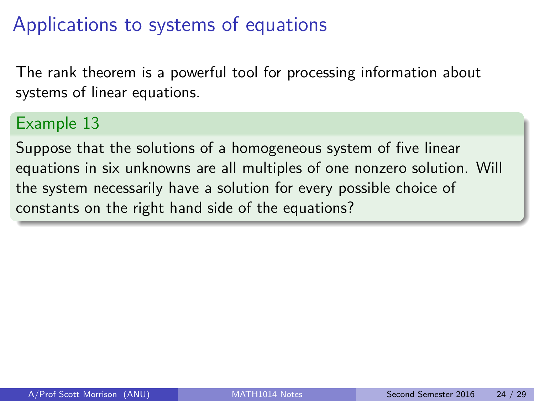## Applications to systems of equations

The rank theorem is a powerful tool for processing information about systems of linear equations.

#### Example 13

Suppose that the solutions of a homogeneous system of five linear equations in six unknowns are all multiples of one nonzero solution. Will the system necessarily have a solution for every possible choice of constants on the right hand side of the equations?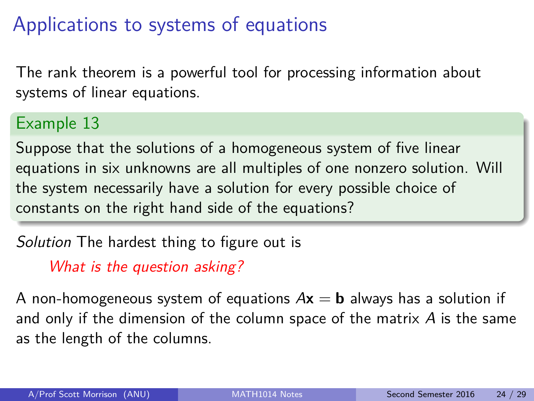## Applications to systems of equations

The rank theorem is a powerful tool for processing information about systems of linear equations.

#### Example 13

Suppose that the solutions of a homogeneous system of five linear equations in six unknowns are all multiples of one nonzero solution. Will the system necessarily have a solution for every possible choice of constants on the right hand side of the equations?

Solution The hardest thing to figure out is

What is the question asking?

A non-homogeneous system of equations  $A\mathbf{x} = \mathbf{b}$  always has a solution if and only if the dimension of the column space of the matrix  $\vec{A}$  is the same as the length of the columns.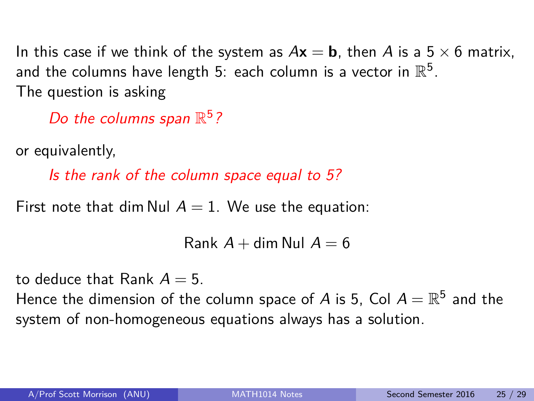In this case if we think of the system as  $A\mathbf{x} = \mathbf{b}$ , then A is a 5  $\times$  6 matrix, and the columns have length 5: each column is a vector in  $\mathbb{R}^5$ . The question is asking

Do the columns span  $\mathbb{R}^5$ ?

or equivalently,

Is the rank of the column space equal to 5?

First note that dim Nul  $A = 1$ . We use the equation:

Rank  $A +$  dim Nul  $A = 6$ 

to deduce that Rank  $A = 5$ .

Hence the dimension of the column space of A is 5, CoI  $A = \mathbb{R}^5$  and the system of non-homogeneous equations always has a solution.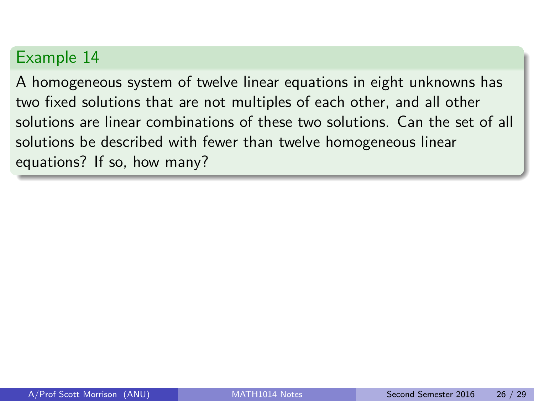A homogeneous system of twelve linear equations in eight unknowns has two fixed solutions that are not multiples of each other, and all other solutions are linear combinations of these two solutions. Can the set of all solutions be described with fewer than twelve homogeneous linear equations? If so, how many?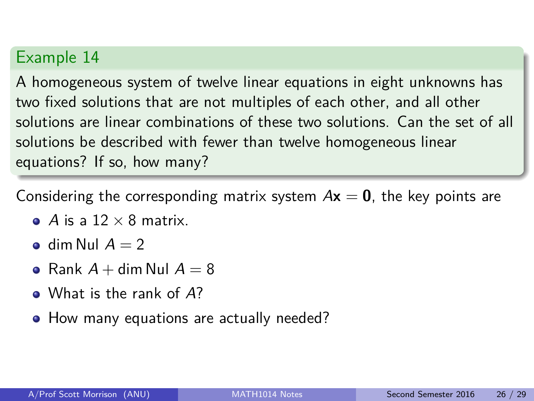A homogeneous system of twelve linear equations in eight unknowns has two fixed solutions that are not multiples of each other, and all other solutions are linear combinations of these two solutions. Can the set of all solutions be described with fewer than twelve homogeneous linear equations? If so, how many?

Considering the corresponding matrix system  $Ax = 0$ , the key points are

- A is a  $12 \times 8$  matrix.
- dim Nul  $A = 2$
- Rank  $A + \dim \text{Nul } A = 8$
- What is the rank of A?
- How many equations are actually needed?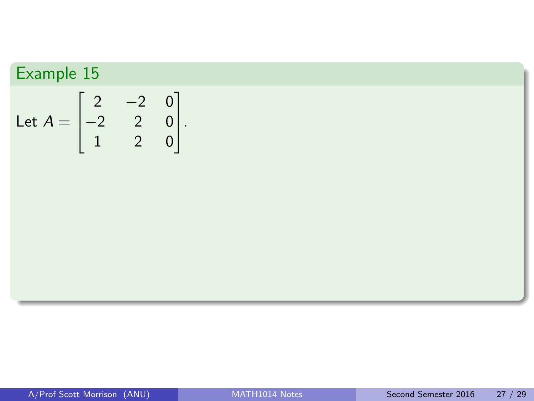Let 
$$
A = \begin{bmatrix} 2 & -2 & 0 \\ -2 & 2 & 0 \\ 1 & 2 & 0 \end{bmatrix}
$$
.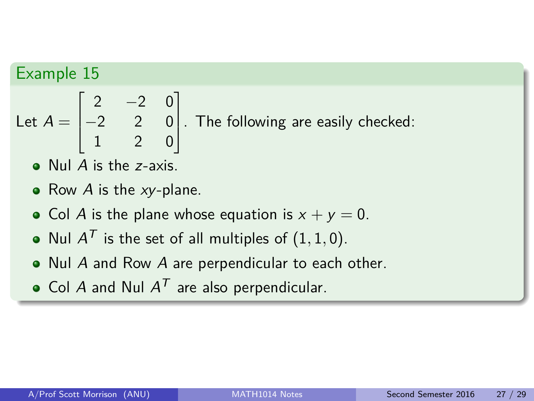Let 
$$
A = \begin{bmatrix} 2 & -2 & 0 \\ -2 & 2 & 0 \\ 1 & 2 & 0 \end{bmatrix}
$$
. The following are easily checked:

- Nul A is the z-axis.
- Row  $A$  is the  $xy$ -plane.
- Col A is the plane whose equation is  $x + y = 0$ .
- Nul  $A^{\mathcal{T}}$  is the set of all multiples of  $(1,1,0).$
- Nul A and Row A are perpendicular to each other.
- Col A and Nul  $A^T$  are also perpendicular.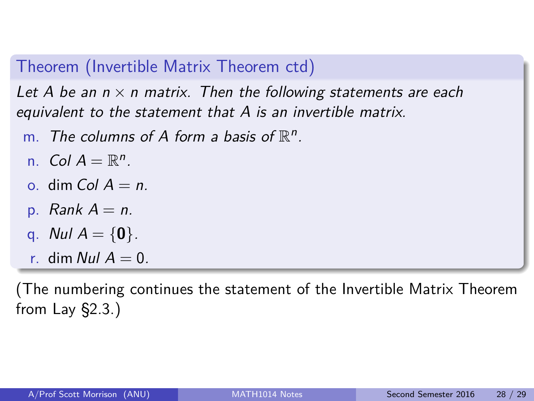#### Theorem (Invertible Matrix Theorem ctd)

Let A be an  $n \times n$  matrix. Then the following statements are each equivalent to the statement that A is an invertible matrix.

- m. The columns of A form a basis of  $\mathbb{R}^n$ .
- n. Col  $A = \mathbb{R}^n$ .
- o. dim Col  $A = n$ .
- p. Rank  $A = n$ .
- q. Nul  $A = \{0\}$ .
- r. dim Nul  $A = 0$ .

(The numbering continues the statement of the Invertible Matrix Theorem from Lay §2.3.)